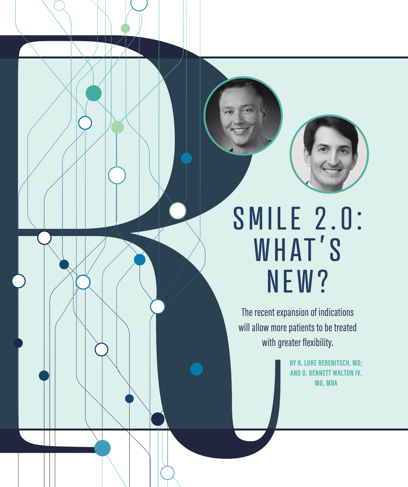



# SMILE 2.0: WHAT'S NEW?

The recent expansion of indications will allow more patients to be treated with greater flexibility.

> **BY R. LUKE REBENITSCH, MD; AND O. BENNETT WALTON IV, MD, MBA**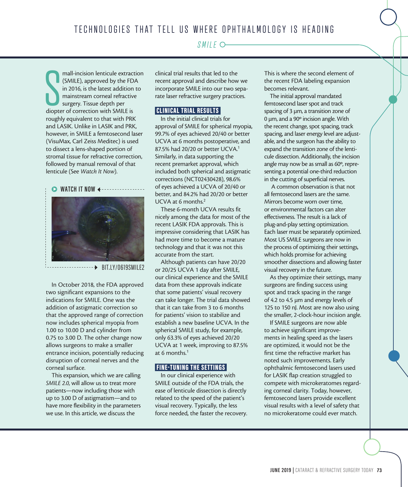#### *SMILE*

mall-incision lenticule extract<br>
(SMILE), approved by the FD<br>
in 2016, is the latest addition<br>
mainstream corneal refractive<br>
surgery. Tissue depth per<br>
diopter of correction with SMILE is mall-incision lenticule extraction (SMILE), approved by the FDA in 2016, is the latest addition to mainstream corneal refractive surgery. Tissue depth per roughly equivalent to that with PRK and LASIK. Unlike in LASIK and PRK, however, in SMILE a femtosecond laser (VisuMax, Carl Zeiss Meditec) is used to dissect a lens-shaped portion of stromal tissue for refractive correction, followed by manual removal of that lenticule (See *Watch It Now*).

#### $\triangleright$  **WATCH IT NOW**



BIT.LY/0619SMILE2

In October 2018, the FDA approved two significant expansions to the indications for SMILE. One was the addition of astigmatic correction so that the approved range of correction now includes spherical myopia from 1.00 to 10.00 D and cylinder from 0.75 to 3.00 D. The other change now allows surgeons to make a smaller entrance incision, potentially reducing disruption of corneal nerves and the corneal surface.

This expansion, which we are calling *SMILE 2.0*, will allow us to treat more patients—now including those with up to 3.00 D of astigmatism—and to have more flexibility in the parameters we use. In this article, we discuss the

clinical trial results that led to the recent approval and describe how we incorporate SMILE into our two separate laser refractive surgery practices.

#### CLINICAL TRIAL RESULTS

In the initial clinical trials for approval of SMILE for spherical myopia, 99.7% of eyes achieved 20/40 or better UCVA at 6 months postoperative, and 87.5% had 20/20 or better UCVA.1 Similarly, in data supporting the recent premarket approval, which included both spherical and astigmatic corrections (NCT02430428), 98.6% of eyes achieved a UCVA of 20/40 or better, and 84.2% had 20/20 or better UCVA at 6 months.2

These 6-month UCVA results fit nicely among the data for most of the recent LASIK FDA approvals. This is impressive considering that LASIK has had more time to become a mature technology and that it was not this accurate from the start.

Although patients can have 20/20 or 20/25 UCVA 1 day after SMILE, our clinical experience and the SMILE data from these approvals indicate that some patients' visual recovery can take longer. The trial data showed that it can take from 3 to 6 months for patients' vision to stabilize and establish a new baseline UCVA. In the spherical SMILE study, for example, only 63.3% of eyes achieved 20/20 UCVA at 1 week, improving to 87.5% at 6 months. $1$ 

#### FINE-TUNING THE SETTINGS

In our clinical experience with SMILE outside of the FDA trials, the ease of lenticule dissection is directly related to the speed of the patient's visual recovery. Typically, the less force needed, the faster the recovery. This is where the second element of the recent FDA labeling expansion becomes relevant.

The initial approval mandated femtosecond laser spot and track spacing of 3 µm, a transition zone of 0 µm, and a 90º incision angle. With the recent change, spot spacing, track spacing, and laser energy level are adjustable, and the surgeon has the ability to expand the transition zone of the lenticule dissection. Additionally, the incision angle may now be as small as 60º, representing a potential one-third reduction in the cutting of superficial nerves.

 A common observation is that not all femtosecond lasers are the same. Mirrors become worn over time, or environmental factors can alter effectiveness. The result is a lack of plug-and-play setting optimization. Each laser must be separately optimized. Most US SMILE surgeons are now in the process of optimizing their settings, which holds promise for achieving smoother dissections and allowing faster visual recovery in the future.

As they optimize their settings, many surgeons are finding success using spot and track spacing in the range of 4.2 to 4.5 µm and energy levels of 125 to 150 nJ. Most are now also using the smaller, 2-clock-hour incision angle.

If SMILE surgeons are now able to achieve significant improvements in healing speed as the lasers are optimized, it would not be the first time the refractive market has noted such improvements. Early ophthalmic femtosecond lasers used for LASIK flap creation struggled to compete with microkeratomes regarding corneal clarity. Today, however, femtosecond lasers provide excellent visual results with a level of safety that no microkeratome could ever match.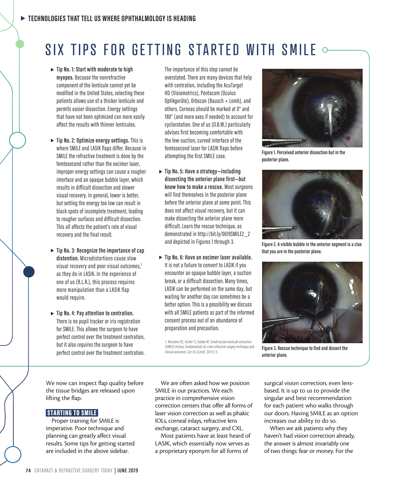## SIX TIPS FOR GETTING STARTED WITH SMILE  $\circ$

- $\blacktriangleright$  Tip No. 1: Start with moderate to high **myopes.** Because the nonrefractive component of the lenticule cannot yet be modified in the United States, selecting these patients allows use of a thicker lenticule and permits easier dissection. Energy settings that have not been optimized can more easily affect the results with thinner lenticules.
- $\blacktriangleright$  Tip No. 2: Optimize energy settings. This is where SMILE and LASIK flaps differ. Because in SMILE the refractive treatment is done by the femtosecond rather than the excimer laser, improper energy settings can cause a rougher interface and an opaque bubble layer, which results in difficult dissection and slower visual recovery. In general, lower is better, but setting the energy too low can result in black spots of incomplete treatment, leading to rougher surfaces and difficult dissection. This all affects the patient's rate of visual recovery and the final result.
- ▶ Tip No. 3: Recognize the importance of cap **distention.** Microdistortions cause slow visual recovery and poor visual outcomes,<sup>1</sup> as they do in LASIK. In the experience of one of us (R.L.R.), this process requires more manipulation than a LASIK flap would require.
- $\blacktriangleright$  Tip No. 4: Pay attention to centration. There is no pupil tracker or iris registration for SMILE. This allows the surgeon to have perfect control over the treatment centration, but it also *requires* the surgeon to have perfect control over the treatment centration.

The importance of this step cannot be overstated. There are many devices that help with centration, including the AcuTarget HD (Visiometrics), Pentacam (Oculus Optikgeräte), Orbscan (Bausch + Lomb), and others. Corneas should be marked at 0° and 180° (and more axes if needed) to account for cyclorotation. One of us (O.B.W.) particularly advises first becoming comfortable with the low-suction, curved interface of the femtosecond laser for LASIK flaps before attempting the first SMILE case.

- ▶ Tip No. 5: Have a strategy—including **dissecting the anterior plane first—but know how to make a rescue.** Most surgeons will find themselves in the posterior plane before the anterior plane at some point. This does not affect visual recovery, but it can make dissecting the anterior plane more difficult. Learn the rescue technique, as demonstrated in http://bit.ly/0619SMILE2\_2 and depicted in Figures 1 through 3.
- $\blacktriangleright$  Tip No. 6: Have an excimer laser available. It is not a failure to convert to LASIK if you encounter an opaque bubble layer, a suction break, or a difficult dissection. Many times, LASIK can be performed on the same day, but waiting for another day can sometimes be a better option. This is a possibility we discuss with all SMILE patients as part of the informed consent process out of an abundance of preparation and precaution.

1. Reinstein DZ, Archer TJ, Gobbe M. Small incision lenticule extraction (SMILE) history, fundamentals of a new refractive surgery technique and clinical outcomes. *Eye Vis (Lond).* 2014;1:3.



**Figure 1. Perceived anterior dissection but in the posterior plane.**



**Figure 2. A visible bubble in the anterior segment is a clue that you are in the posterior plane.**



**Figure 3. Rescue technique to find and dissect the anterior plane.**

We now can inspect flap quality before the tissue bridges are released upon lifting the flap.

#### STARTING TO SMILE

Proper training for SMILE is imperative. Poor technique and planning can greatly affect visual results. Some tips for getting started are included in the above sidebar.

We are often asked how we position SMILE in our practices. We each practice in comprehensive vision correction centers that offer all forms of laser vision correction as well as phakic IOLs, corneal inlays, refractive lens exchange, cataract surgery, and CXL.

Most patients have at least heard of LASIK, which essentially now serves as a proprietary eponym for all forms of

surgical vision correction, even lensbased. It is up to us to provide the singular and best recommendation for each patient who walks through our doors. Having SMILE as an option increases our ability to do so.

When we ask patients why they haven't had vision correction already, the answer is almost invariably one of two things: fear or money. For the